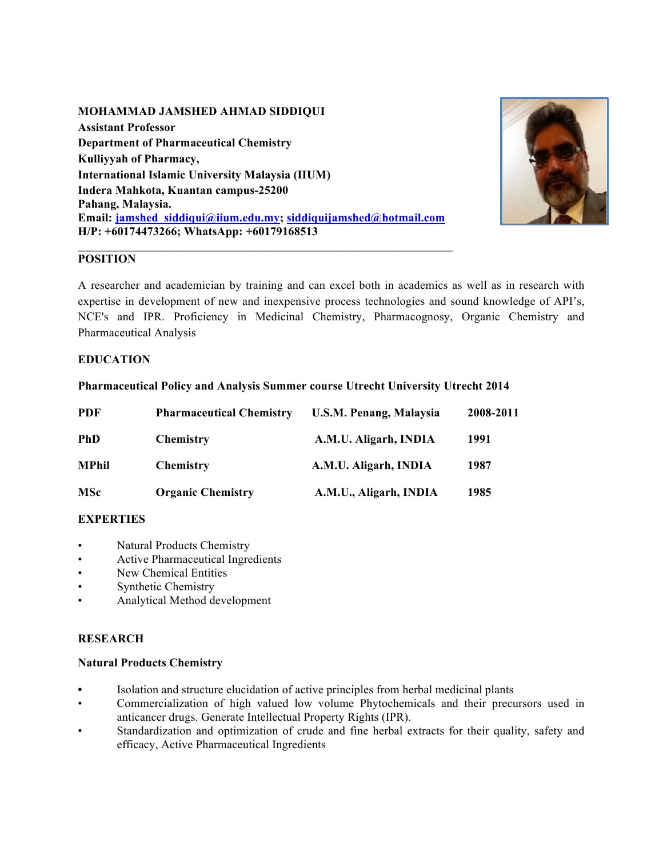### **MOHAMMAD JAMSHED AHMAD SIDDIQUI**

**Assistant Professor Department of Pharmaceutical Chemistry Kulliyyah of Pharmacy, International Islamic University Malaysia (IIUM) Indera Mahkota, Kuantan campus-25200 Pahang, Malaysia. Email: jamshed\_siddiqui@iium.edu.my; siddiquijamshed@hotmail.com H/P: +60174473266; WhatsApp: +60179168513**



# **POSITION**

A researcher and academician by training and can excel both in academics as well as in research with expertise in development of new and inexpensive process technologies and sound knowledge of API's, NCE's and IPR. Proficiency in Medicinal Chemistry, Pharmacognosy, Organic Chemistry and Pharmaceutical Analysis

### **EDUCATION**

### **Pharmaceutical Policy and Analysis Summer course Utrecht University Utrecht 2014**

| <b>PDF</b>   | <b>Pharmaceutical Chemistry</b> | <b>U.S.M. Penang, Malaysia</b> | 2008-2011 |
|--------------|---------------------------------|--------------------------------|-----------|
| <b>PhD</b>   | <b>Chemistry</b>                | A.M.U. Aligarh, INDIA          | 1991      |
| <b>MPhil</b> | <b>Chemistry</b>                | A.M.U. Aligarh, INDIA          | 1987      |
| <b>MSc</b>   | <b>Organic Chemistry</b>        | A.M.U., Aligarh, INDIA         | 1985      |

### **EXPERTIES**

- Natural Products Chemistry
- Active Pharmaceutical Ingredients
- New Chemical Entities
- Synthetic Chemistry
- Analytical Method development

# **RESEARCH**

### **Natural Products Chemistry**

- **•** Isolation and structure elucidation of active principles from herbal medicinal plants
- Commercialization of high valued low volume Phytochemicals and their precursors used in anticancer drugs. Generate Intellectual Property Rights (IPR).
- Standardization and optimization of crude and fine herbal extracts for their quality, safety and efficacy, Active Pharmaceutical Ingredients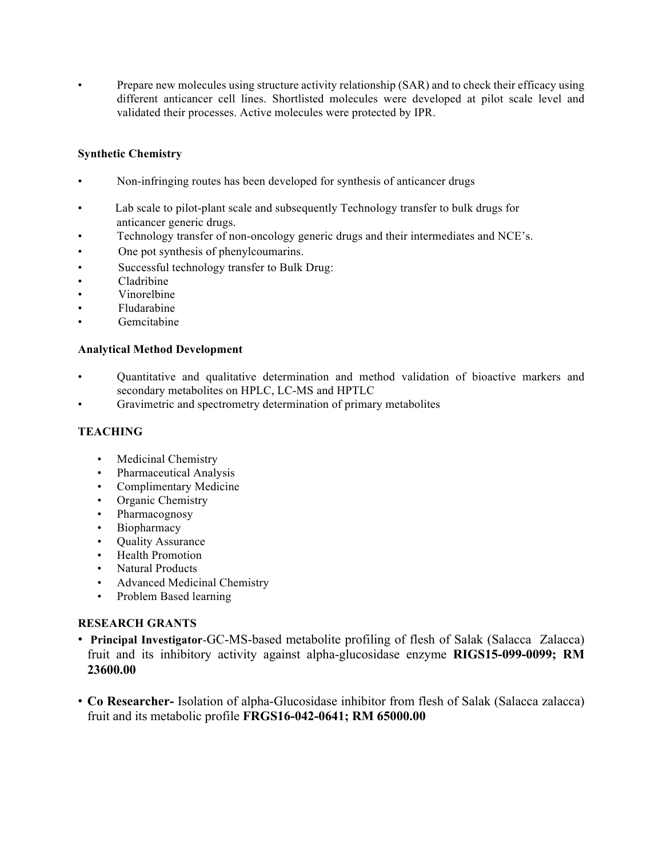• Prepare new molecules using structure activity relationship (SAR) and to check their efficacy using different anticancer cell lines. Shortlisted molecules were developed at pilot scale level and validated their processes. Active molecules were protected by IPR.

## **Synthetic Chemistry**

- Non-infringing routes has been developed for synthesis of anticancer drugs
- Lab scale to pilot-plant scale and subsequently Technology transfer to bulk drugs for anticancer generic drugs.
- Technology transfer of non-oncology generic drugs and their intermediates and NCE's.
- One pot synthesis of phenylcoumarins.
- Successful technology transfer to Bulk Drug:
- Cladribine
- Vinorelbine
- Fludarabine
- Gemcitabine

## **Analytical Method Development**

- Quantitative and qualitative determination and method validation of bioactive markers and secondary metabolites on HPLC, LC-MS and HPTLC
- Gravimetric and spectrometry determination of primary metabolites

### **TEACHING**

- Medicinal Chemistry
- Pharmaceutical Analysis
- Complimentary Medicine
- Organic Chemistry
- Pharmacognosy
- Biopharmacy
- Quality Assurance
- Health Promotion
- Natural Products
- Advanced Medicinal Chemistry
- Problem Based learning

### **RESEARCH GRANTS**

- **Principal Investigator**-GC-MS-based metabolite profiling of flesh of Salak (Salacca Zalacca) fruit and its inhibitory activity against alpha-glucosidase enzyme **RIGS15-099-0099; RM 23600.00**
- **Co Researcher-** Isolation of alpha-Glucosidase inhibitor from flesh of Salak (Salacca zalacca) fruit and its metabolic profile **FRGS16-042-0641; RM 65000.00**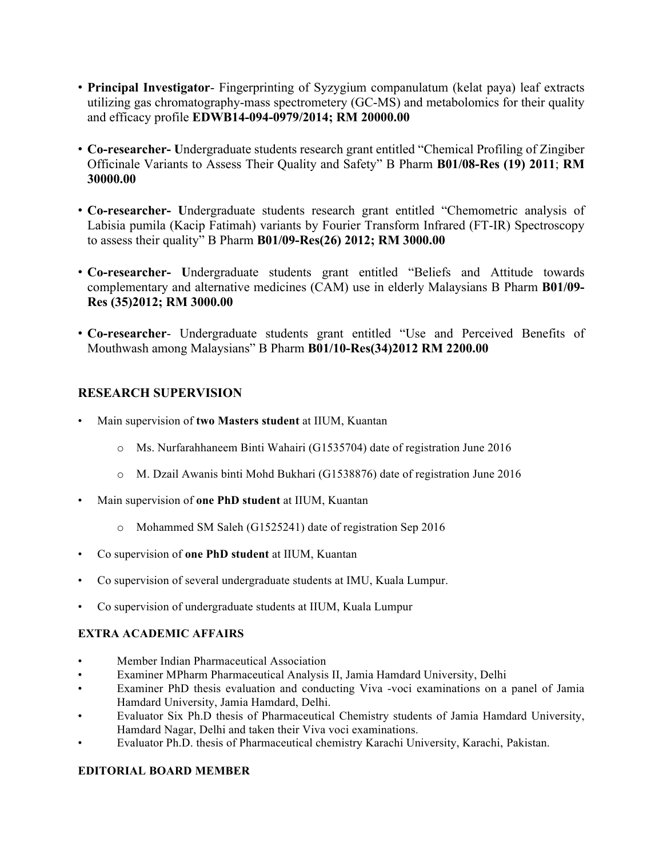- **Principal Investigator** Fingerprinting of Syzygium companulatum (kelat paya) leaf extracts utilizing gas chromatography-mass spectrometery (GC-MS) and metabolomics for their quality and efficacy profile **EDWB14-094-0979/2014; RM 20000.00**
- **Co-researcher- U**ndergraduate students research grant entitled "Chemical Profiling of Zingiber Officinale Variants to Assess Their Quality and Safety" B Pharm **B01/08-Res (19) 2011**; **RM 30000.00**
- **Co-researcher- U**ndergraduate students research grant entitled "Chemometric analysis of Labisia pumila (Kacip Fatimah) variants by Fourier Transform Infrared (FT-IR) Spectroscopy to assess their quality" B Pharm **B01/09-Res(26) 2012; RM 3000.00**
- **Co-researcher- U**ndergraduate students grant entitled "Beliefs and Attitude towards complementary and alternative medicines (CAM) use in elderly Malaysians B Pharm **B01/09- Res (35)2012; RM 3000.00**
- **Co-researcher** Undergraduate students grant entitled "Use and Perceived Benefits of Mouthwash among Malaysians" B Pharm **B01/10-Res(34)2012 RM 2200.00**

# **RESEARCH SUPERVISION**

- Main supervision of **two Masters student** at IIUM, Kuantan
	- o Ms. Nurfarahhaneem Binti Wahairi (G1535704) date of registration June 2016
	- o M. Dzail Awanis binti Mohd Bukhari (G1538876) date of registration June 2016
- Main supervision of **one PhD student** at IIUM, Kuantan
	- o Mohammed SM Saleh (G1525241) date of registration Sep 2016
- Co supervision of **one PhD student** at IIUM, Kuantan
- Co supervision of several undergraduate students at IMU, Kuala Lumpur.
- Co supervision of undergraduate students at IIUM, Kuala Lumpur

# **EXTRA ACADEMIC AFFAIRS**

- Member Indian Pharmaceutical Association
- Examiner MPharm Pharmaceutical Analysis II, Jamia Hamdard University, Delhi
- Examiner PhD thesis evaluation and conducting Viva -voci examinations on a panel of Jamia Hamdard University, Jamia Hamdard, Delhi.
- Evaluator Six Ph.D thesis of Pharmaceutical Chemistry students of Jamia Hamdard University, Hamdard Nagar, Delhi and taken their Viva voci examinations.
- Evaluator Ph.D. thesis of Pharmaceutical chemistry Karachi University, Karachi, Pakistan.

# **EDITORIAL BOARD MEMBER**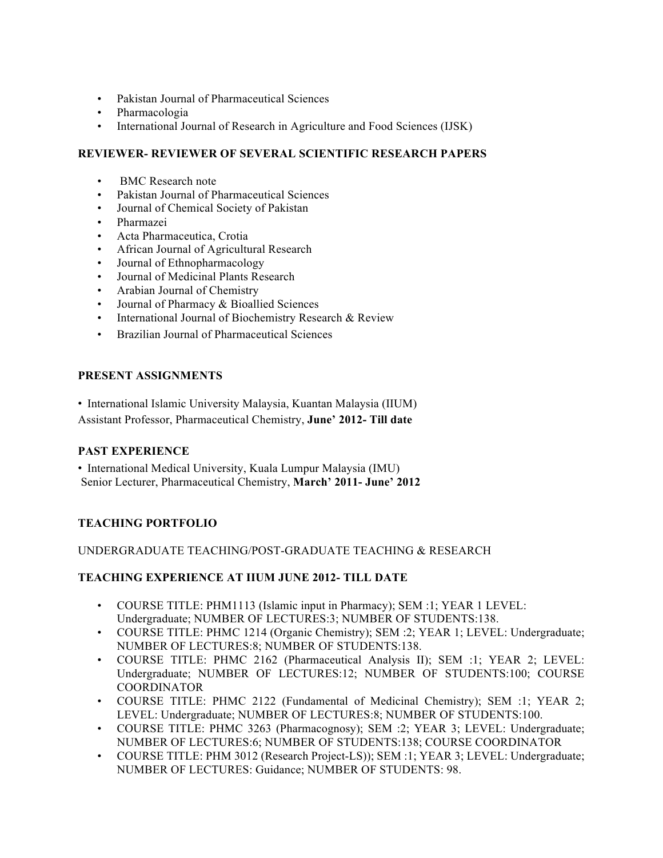- Pakistan Journal of Pharmaceutical Sciences
- Pharmacologia
- International Journal of Research in Agriculture and Food Sciences (IJSK)

### **REVIEWER- REVIEWER OF SEVERAL SCIENTIFIC RESEARCH PAPERS**

- BMC Research note
- Pakistan Journal of Pharmaceutical Sciences
- Journal of Chemical Society of Pakistan
- Pharmazei
- Acta Pharmaceutica, Crotia
- African Journal of Agricultural Research
- Journal of Ethnopharmacology
- Journal of Medicinal Plants Research
- Arabian Journal of Chemistry
- Journal of Pharmacy & Bioallied Sciences
- International Journal of Biochemistry Research & Review
- Brazilian Journal of Pharmaceutical Sciences

## **PRESENT ASSIGNMENTS**

- International Islamic University Malaysia, Kuantan Malaysia (IIUM)
- Assistant Professor, Pharmaceutical Chemistry, **June' 2012- Till date**

### **PAST EXPERIENCE**

• International Medical University, Kuala Lumpur Malaysia (IMU) Senior Lecturer, Pharmaceutical Chemistry, **March' 2011- June' 2012**

# **TEACHING PORTFOLIO**

### UNDERGRADUATE TEACHING/POST-GRADUATE TEACHING & RESEARCH

# **TEACHING EXPERIENCE AT IIUM JUNE 2012- TILL DATE**

- COURSE TITLE: PHM1113 (Islamic input in Pharmacy); SEM :1; YEAR 1 LEVEL: Undergraduate; NUMBER OF LECTURES:3; NUMBER OF STUDENTS:138.
- COURSE TITLE: PHMC 1214 (Organic Chemistry); SEM :2; YEAR 1; LEVEL: Undergraduate; NUMBER OF LECTURES:8; NUMBER OF STUDENTS:138.
- COURSE TITLE: PHMC 2162 (Pharmaceutical Analysis II); SEM :1; YEAR 2; LEVEL: Undergraduate; NUMBER OF LECTURES:12; NUMBER OF STUDENTS:100; COURSE **COORDINATOR**
- COURSE TITLE: PHMC 2122 (Fundamental of Medicinal Chemistry): SEM :1: YEAR 2: LEVEL: Undergraduate; NUMBER OF LECTURES:8; NUMBER OF STUDENTS:100.
- COURSE TITLE: PHMC 3263 (Pharmacognosy); SEM :2; YEAR 3; LEVEL: Undergraduate; NUMBER OF LECTURES:6; NUMBER OF STUDENTS:138; COURSE COORDINATOR
- COURSE TITLE: PHM 3012 (Research Project-LS)); SEM :1; YEAR 3; LEVEL: Undergraduate; NUMBER OF LECTURES: Guidance; NUMBER OF STUDENTS: 98.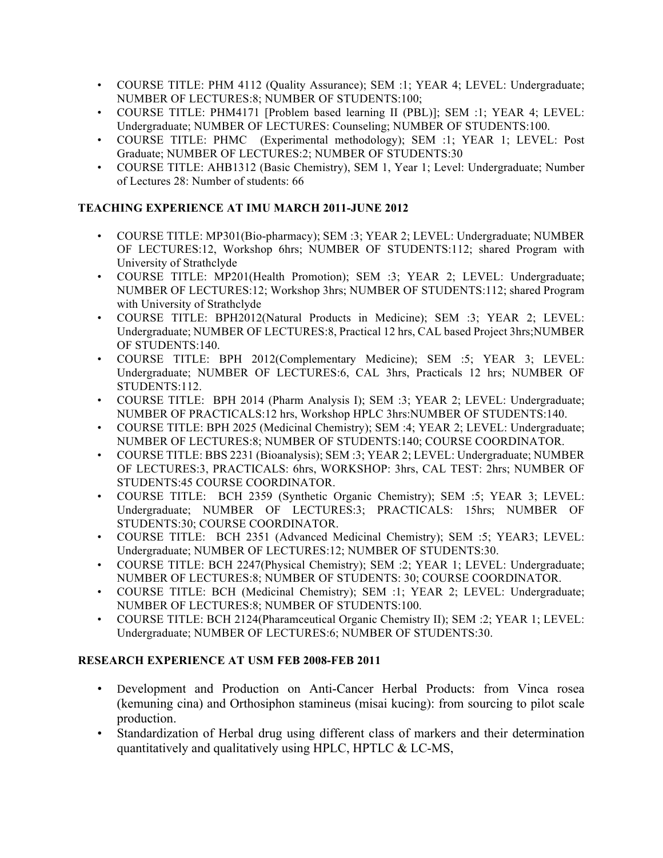- COURSE TITLE: PHM 4112 (Quality Assurance); SEM :1; YEAR 4; LEVEL: Undergraduate; NUMBER OF LECTURES:8; NUMBER OF STUDENTS:100;
- COURSE TITLE: PHM4171 [Problem based learning II (PBL)]; SEM :1; YEAR 4; LEVEL: Undergraduate; NUMBER OF LECTURES: Counseling; NUMBER OF STUDENTS:100.
- COURSE TITLE: PHMC (Experimental methodology); SEM :1; YEAR 1; LEVEL: Post Graduate; NUMBER OF LECTURES:2; NUMBER OF STUDENTS:30
- COURSE TITLE: AHB1312 (Basic Chemistry), SEM 1, Year 1; Level: Undergraduate; Number of Lectures 28: Number of students: 66

# **TEACHING EXPERIENCE AT IMU MARCH 2011-JUNE 2012**

- COURSE TITLE: MP301(Bio-pharmacy); SEM :3; YEAR 2; LEVEL: Undergraduate; NUMBER OF LECTURES:12, Workshop 6hrs; NUMBER OF STUDENTS:112; shared Program with University of Strathclyde
- COURSE TITLE: MP201(Health Promotion); SEM :3; YEAR 2; LEVEL: Undergraduate; NUMBER OF LECTURES:12; Workshop 3hrs; NUMBER OF STUDENTS:112; shared Program with University of Strathclyde
- COURSE TITLE: BPH2012(Natural Products in Medicine); SEM :3; YEAR 2; LEVEL: Undergraduate; NUMBER OF LECTURES:8, Practical 12 hrs, CAL based Project 3hrs;NUMBER OF STUDENTS:140.
- COURSE TITLE: BPH 2012(Complementary Medicine); SEM :5; YEAR 3; LEVEL: Undergraduate; NUMBER OF LECTURES:6, CAL 3hrs, Practicals 12 hrs; NUMBER OF STUDENTS:112.
- COURSE TITLE: BPH 2014 (Pharm Analysis I): SEM :3: YEAR 2; LEVEL: Undergraduate; NUMBER OF PRACTICALS:12 hrs, Workshop HPLC 3hrs:NUMBER OF STUDENTS:140.
- COURSE TITLE: BPH 2025 (Medicinal Chemistry); SEM :4; YEAR 2; LEVEL: Undergraduate; NUMBER OF LECTURES:8; NUMBER OF STUDENTS:140; COURSE COORDINATOR.
- COURSE TITLE: BBS 2231 (Bioanalysis); SEM :3; YEAR 2; LEVEL: Undergraduate; NUMBER OF LECTURES:3, PRACTICALS: 6hrs, WORKSHOP: 3hrs, CAL TEST: 2hrs; NUMBER OF STUDENTS:45 COURSE COORDINATOR.
- COURSE TITLE: BCH 2359 (Synthetic Organic Chemistry); SEM :5; YEAR 3; LEVEL: Undergraduate; NUMBER OF LECTURES:3; PRACTICALS: 15hrs; NUMBER OF STUDENTS:30; COURSE COORDINATOR.
- COURSE TITLE: BCH 2351 (Advanced Medicinal Chemistry); SEM :5; YEAR3; LEVEL: Undergraduate; NUMBER OF LECTURES:12; NUMBER OF STUDENTS:30.
- COURSE TITLE: BCH 2247(Physical Chemistry); SEM :2; YEAR 1; LEVEL: Undergraduate; NUMBER OF LECTURES:8; NUMBER OF STUDENTS: 30; COURSE COORDINATOR.
- COURSE TITLE: BCH (Medicinal Chemistry); SEM :1; YEAR 2; LEVEL: Undergraduate; NUMBER OF LECTURES:8; NUMBER OF STUDENTS:100.
- COURSE TITLE: BCH 2124(Pharamceutical Organic Chemistry II); SEM :2; YEAR 1; LEVEL: Undergraduate; NUMBER OF LECTURES:6; NUMBER OF STUDENTS:30.

# **RESEARCH EXPERIENCE AT USM FEB 2008-FEB 2011**

- Development and Production on Anti-Cancer Herbal Products: from Vinca rosea (kemuning cina) and Orthosiphon stamineus (misai kucing): from sourcing to pilot scale production.
- Standardization of Herbal drug using different class of markers and their determination quantitatively and qualitatively using HPLC, HPTLC & LC-MS,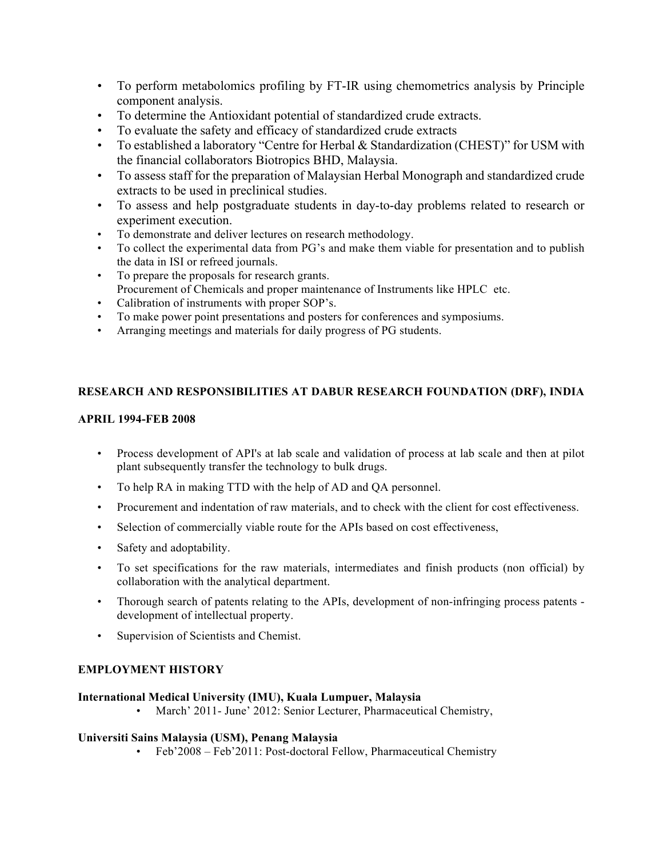- To perform metabolomics profiling by FT-IR using chemometrics analysis by Principle component analysis.
- To determine the Antioxidant potential of standardized crude extracts.
- To evaluate the safety and efficacy of standardized crude extracts
- To established a laboratory "Centre for Herbal & Standardization (CHEST)" for USM with the financial collaborators Biotropics BHD, Malaysia.
- To assess staff for the preparation of Malaysian Herbal Monograph and standardized crude extracts to be used in preclinical studies.
- To assess and help postgraduate students in day-to-day problems related to research or experiment execution.
- To demonstrate and deliver lectures on research methodology.
- To collect the experimental data from PG's and make them viable for presentation and to publish the data in ISI or refreed journals.
- To prepare the proposals for research grants. Procurement of Chemicals and proper maintenance of Instruments like HPLC etc.
- Calibration of instruments with proper SOP's.
- To make power point presentations and posters for conferences and symposiums.
- Arranging meetings and materials for daily progress of PG students.

## **RESEARCH AND RESPONSIBILITIES AT DABUR RESEARCH FOUNDATION (DRF), INDIA**

### **APRIL 1994-FEB 2008**

- Process development of API's at lab scale and validation of process at lab scale and then at pilot plant subsequently transfer the technology to bulk drugs.
- To help RA in making TTD with the help of AD and QA personnel.
- Procurement and indentation of raw materials, and to check with the client for cost effectiveness.
- Selection of commercially viable route for the APIs based on cost effectiveness,
- Safety and adoptability.
- To set specifications for the raw materials, intermediates and finish products (non official) by collaboration with the analytical department.
- Thorough search of patents relating to the APIs, development of non-infringing process patents development of intellectual property.
- Supervision of Scientists and Chemist.

# **EMPLOYMENT HISTORY**

### **International Medical University (IMU), Kuala Lumpuer, Malaysia**

• March' 2011- June' 2012: Senior Lecturer, Pharmaceutical Chemistry,

### **Universiti Sains Malaysia (USM), Penang Malaysia**

• Feb'2008 – Feb'2011: Post-doctoral Fellow, Pharmaceutical Chemistry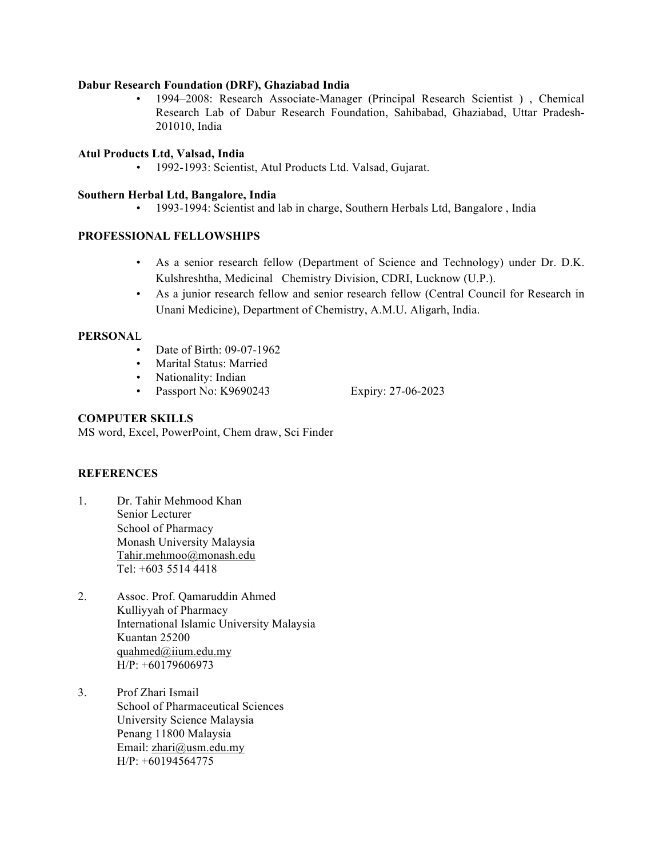#### **Dabur Research Foundation (DRF), Ghaziabad India**

• 1994–2008: Research Associate-Manager (Principal Research Scientist ) , Chemical Research Lab of Dabur Research Foundation, Sahibabad, Ghaziabad, Uttar Pradesh-201010, India

#### **Atul Products Ltd, Valsad, India**

• 1992-1993: Scientist, Atul Products Ltd. Valsad, Gujarat.

#### **Southern Herbal Ltd, Bangalore, India**

• 1993-1994: Scientist and lab in charge, Southern Herbals Ltd, Bangalore , India

### **PROFESSIONAL FELLOWSHIPS**

- As a senior research fellow (Department of Science and Technology) under Dr. D.K. Kulshreshtha, Medicinal Chemistry Division, CDRI, Lucknow (U.P.).
- As a junior research fellow and senior research fellow (Central Council for Research in Unani Medicine), Department of Chemistry, A.M.U. Aligarh, India.

#### **PERSONA**L

- Date of Birth: 09-07-1962
- Marital Status: Married
- Nationality: Indian
- Passport No: K9690243 Expiry: 27-06-2023

#### **COMPUTER SKILLS**

MS word, Excel, PowerPoint, Chem draw, Sci Finder

### **REFERENCES**

- 1. Dr. Tahir Mehmood Khan Senior Lecturer School of Pharmacy Monash University Malaysia Tahir.mehmoo@monash.edu Tel: +603 5514 4418
- 2. Assoc. Prof. Qamaruddin Ahmed Kulliyyah of Pharmacy International Islamic University Malaysia Kuantan 25200 quahmed@iium.edu.my H/P: +60179606973
- 3. Prof Zhari Ismail School of Pharmaceutical Sciences University Science Malaysia Penang 11800 Malaysia Email: zhari@usm.edu.my  $H/P: +60194564775$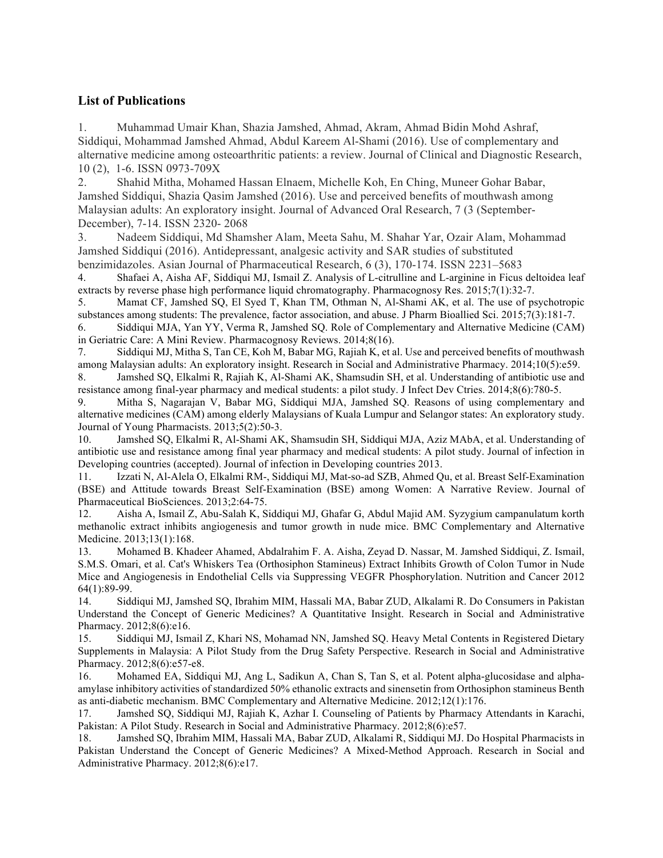# **List of Publications**

1. Muhammad Umair Khan, Shazia Jamshed, Ahmad, Akram, Ahmad Bidin Mohd Ashraf, Siddiqui, Mohammad Jamshed Ahmad, Abdul Kareem Al-Shami (2016). Use of complementary and alternative medicine among osteoarthritic patients: a review. Journal of Clinical and Diagnostic Research, 10 (2), 1-6. ISSN 0973-709X

2. Shahid Mitha, Mohamed Hassan Elnaem, Michelle Koh, En Ching, Muneer Gohar Babar, Jamshed Siddiqui, Shazia Qasim Jamshed (2016). Use and perceived benefits of mouthwash among Malaysian adults: An exploratory insight. Journal of Advanced Oral Research, 7 (3 (September-December), 7-14. ISSN 2320- 2068

3. Nadeem Siddiqui, Md Shamsher Alam, Meeta Sahu, M. Shahar Yar, Ozair Alam, Mohammad Jamshed Siddiqui (2016). Antidepressant, analgesic activity and SAR studies of substituted benzimidazoles. Asian Journal of Pharmaceutical Research, 6 (3), 170-174. ISSN 2231–5683

4. Shafaei A, Aisha AF, Siddiqui MJ, Ismail Z. Analysis of L-citrulline and L-arginine in Ficus deltoidea leaf extracts by reverse phase high performance liquid chromatography. Pharmacognosy Res. 2015;7(1):32-7.

5. Mamat CF, Jamshed SQ, El Syed T, Khan TM, Othman N, Al-Shami AK, et al. The use of psychotropic substances among students: The prevalence, factor association, and abuse. J Pharm Bioallied Sci. 2015;7(3):181-7.

6. Siddiqui MJA, Yan YY, Verma R, Jamshed SQ. Role of Complementary and Alternative Medicine (CAM) in Geriatric Care: A Mini Review. Pharmacognosy Reviews. 2014;8(16).

7. Siddiqui MJ, Mitha S, Tan CE, Koh M, Babar MG, Rajiah K, et al. Use and perceived benefits of mouthwash among Malaysian adults: An exploratory insight. Research in Social and Administrative Pharmacy. 2014;10(5):e59.

8. Jamshed SQ, Elkalmi R, Rajiah K, Al-Shami AK, Shamsudin SH, et al. Understanding of antibiotic use and resistance among final-year pharmacy and medical students: a pilot study. J Infect Dev Ctries. 2014;8(6):780-5.

9. Mitha S, Nagarajan V, Babar MG, Siddiqui MJA, Jamshed SQ. Reasons of using complementary and alternative medicines (CAM) among elderly Malaysians of Kuala Lumpur and Selangor states: An exploratory study. Journal of Young Pharmacists. 2013;5(2):50-3.

10. Jamshed SQ, Elkalmi R, Al-Shami AK, Shamsudin SH, Siddiqui MJA, Aziz MAbA, et al. Understanding of antibiotic use and resistance among final year pharmacy and medical students: A pilot study. Journal of infection in Developing countries (accepted). Journal of infection in Developing countries 2013.

11. Izzati N, Al-Alela O, Elkalmi RM-, Siddiqui MJ, Mat-so-ad SZB, Ahmed Qu, et al. Breast Self-Examination (BSE) and Attitude towards Breast Self-Examination (BSE) among Women: A Narrative Review. Journal of Pharmaceutical BioSciences. 2013;2:64-75.

12. Aisha A, Ismail Z, Abu-Salah K, Siddiqui MJ, Ghafar G, Abdul Majid AM. Syzygium campanulatum korth methanolic extract inhibits angiogenesis and tumor growth in nude mice. BMC Complementary and Alternative Medicine. 2013;13(1):168.

13. Mohamed B. Khadeer Ahamed, Abdalrahim F. A. Aisha, Zeyad D. Nassar, M. Jamshed Siddiqui, Z. Ismail, S.M.S. Omari, et al. Cat's Whiskers Tea (Orthosiphon Stamineus) Extract Inhibits Growth of Colon Tumor in Nude Mice and Angiogenesis in Endothelial Cells via Suppressing VEGFR Phosphorylation. Nutrition and Cancer 2012 64(1):89-99.

14. Siddiqui MJ, Jamshed SQ, Ibrahim MIM, Hassali MA, Babar ZUD, Alkalami R. Do Consumers in Pakistan Understand the Concept of Generic Medicines? A Quantitative Insight. Research in Social and Administrative Pharmacy. 2012;8(6):e16.

15. Siddiqui MJ, Ismail Z, Khari NS, Mohamad NN, Jamshed SQ. Heavy Metal Contents in Registered Dietary Supplements in Malaysia: A Pilot Study from the Drug Safety Perspective. Research in Social and Administrative Pharmacy. 2012;8(6):e57-e8.

16. Mohamed EA, Siddiqui MJ, Ang L, Sadikun A, Chan S, Tan S, et al. Potent alpha-glucosidase and alphaamylase inhibitory activities of standardized 50% ethanolic extracts and sinensetin from Orthosiphon stamineus Benth as anti-diabetic mechanism. BMC Complementary and Alternative Medicine. 2012;12(1):176.

17. Jamshed SQ, Siddiqui MJ, Rajiah K, Azhar I. Counseling of Patients by Pharmacy Attendants in Karachi, Pakistan: A Pilot Study. Research in Social and Administrative Pharmacy. 2012;8(6):e57.

18. Jamshed SQ, Ibrahim MIM, Hassali MA, Babar ZUD, Alkalami R, Siddiqui MJ. Do Hospital Pharmacists in Pakistan Understand the Concept of Generic Medicines? A Mixed-Method Approach. Research in Social and Administrative Pharmacy. 2012;8(6):e17.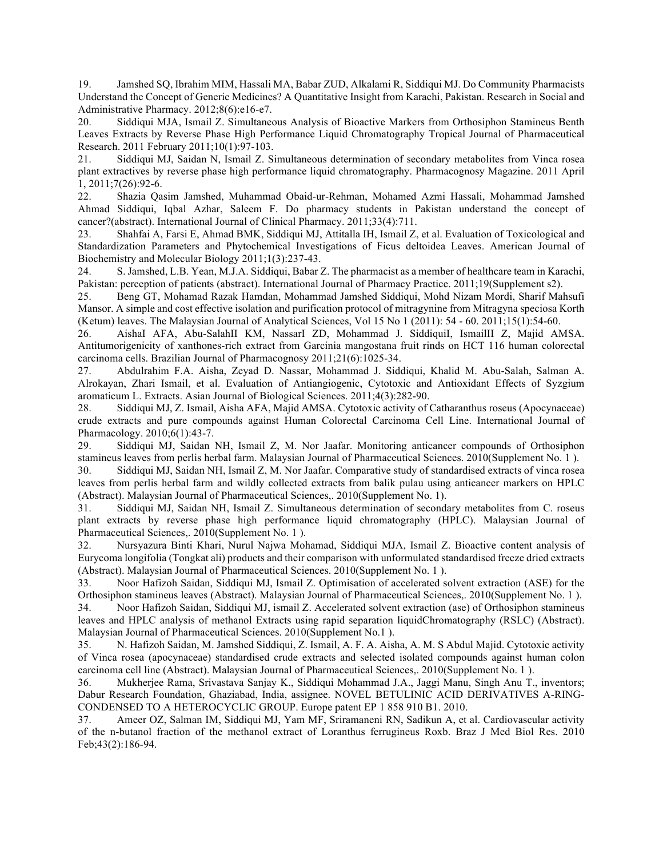19. Jamshed SQ, Ibrahim MIM, Hassali MA, Babar ZUD, Alkalami R, Siddiqui MJ. Do Community Pharmacists Understand the Concept of Generic Medicines? A Quantitative Insight from Karachi, Pakistan. Research in Social and Administrative Pharmacy. 2012;8(6):e16-e7.

20. Siddiqui MJA, Ismail Z. Simultaneous Analysis of Bioactive Markers from Orthosiphon Stamineus Benth Leaves Extracts by Reverse Phase High Performance Liquid Chromatography Tropical Journal of Pharmaceutical Research. 2011 February 2011;10(1):97-103.

21. Siddiqui MJ, Saidan N, Ismail Z. Simultaneous determination of secondary metabolites from Vinca rosea plant extractives by reverse phase high performance liquid chromatography. Pharmacognosy Magazine. 2011 April 1, 2011;7(26):92-6.

22. Shazia Qasim Jamshed, Muhammad Obaid-ur-Rehman, Mohamed Azmi Hassali, Mohammad Jamshed Ahmad Siddiqui, Iqbal Azhar, Saleem F. Do pharmacy students in Pakistan understand the concept of cancer?(abstract). International Journal of Clinical Pharmacy. 2011;33(4):711.

23. Shahfai A, Farsi E, Ahmad BMK, Siddiqui MJ, Attitalla IH, Ismail Z, et al. Evaluation of Toxicological and Standardization Parameters and Phytochemical Investigations of Ficus deltoidea Leaves. American Journal of Biochemistry and Molecular Biology 2011;1(3):237-43.

24. S. Jamshed, L.B. Yean, M.J.A. Siddiqui, Babar Z. The pharmacist as a member of healthcare team in Karachi, Pakistan: perception of patients (abstract). International Journal of Pharmacy Practice. 2011;19(Supplement s2).

25. Beng GT, Mohamad Razak Hamdan, Mohammad Jamshed Siddiqui, Mohd Nizam Mordi, Sharif Mahsufi Mansor. A simple and cost effective isolation and purification protocol of mitragynine from Mitragyna speciosa Korth (Ketum) leaves. The Malaysian Journal of Analytical Sciences, Vol 15 No 1 (2011): 54 - 60. 2011;15(1):54-60.

26. AishaI AFA, Abu-SalahII KM, NassarI ZD, Mohammad J. SiddiquiI, IsmailII Z, Majid AMSA. Antitumorigenicity of xanthones-rich extract from Garcinia mangostana fruit rinds on HCT 116 human colorectal carcinoma cells. Brazilian Journal of Pharmacognosy 2011;21(6):1025-34.

27. Abdulrahim F.A. Aisha, Zeyad D. Nassar, Mohammad J. Siddiqui, Khalid M. Abu-Salah, Salman A. Alrokayan, Zhari Ismail, et al. Evaluation of Antiangiogenic, Cytotoxic and Antioxidant Effects of Syzgium aromaticum L. Extracts. Asian Journal of Biological Sciences. 2011;4(3):282-90.

28. Siddiqui MJ, Z. Ismail, Aisha AFA, Majid AMSA. Cytotoxic activity of Catharanthus roseus (Apocynaceae) crude extracts and pure compounds against Human Colorectal Carcinoma Cell Line. International Journal of Pharmacology. 2010;6(1):43-7.

29. Siddiqui MJ, Saidan NH, Ismail Z, M. Nor Jaafar. Monitoring anticancer compounds of Orthosiphon stamineus leaves from perlis herbal farm. Malaysian Journal of Pharmaceutical Sciences. 2010(Supplement No. 1 ).

30. Siddiqui MJ, Saidan NH, Ismail Z, M. Nor Jaafar. Comparative study of standardised extracts of vinca rosea leaves from perlis herbal farm and wildly collected extracts from balik pulau using anticancer markers on HPLC (Abstract). Malaysian Journal of Pharmaceutical Sciences,. 2010(Supplement No. 1).

31. Siddiqui MJ, Saidan NH, Ismail Z. Simultaneous determination of secondary metabolites from C. roseus plant extracts by reverse phase high performance liquid chromatography (HPLC). Malaysian Journal of Pharmaceutical Sciences,. 2010(Supplement No. 1 ).

32. Nursyazura Binti Khari, Nurul Najwa Mohamad, Siddiqui MJA, Ismail Z. Bioactive content analysis of Eurycoma longifolia (Tongkat ali) products and their comparison with unformulated standardised freeze dried extracts (Abstract). Malaysian Journal of Pharmaceutical Sciences. 2010(Supplement No. 1 ).

33. Noor Hafizoh Saidan, Siddiqui MJ, Ismail Z. Optimisation of accelerated solvent extraction (ASE) for the Orthosiphon stamineus leaves (Abstract). Malaysian Journal of Pharmaceutical Sciences,. 2010(Supplement No. 1 ).

34. Noor Hafizoh Saidan, Siddiqui MJ, ismail Z. Accelerated solvent extraction (ase) of Orthosiphon stamineus leaves and HPLC analysis of methanol Extracts using rapid separation liquidChromatography (RSLC) (Abstract). Malaysian Journal of Pharmaceutical Sciences. 2010(Supplement No.1 ).

35. N. Hafizoh Saidan, M. Jamshed Siddiqui, Z. Ismail, A. F. A. Aisha, A. M. S Abdul Majid. Cytotoxic activity of Vinca rosea (apocynaceae) standardised crude extracts and selected isolated compounds against human colon carcinoma cell line (Abstract). Malaysian Journal of Pharmaceutical Sciences,. 2010(Supplement No. 1 ).

36. Mukherjee Rama, Srivastava Sanjay K., Siddiqui Mohammad J.A., Jaggi Manu, Singh Anu T., inventors; Dabur Research Foundation, Ghaziabad, India, assignee. NOVEL BETULINIC ACID DERIVATIVES A-RING-CONDENSED TO A HETEROCYCLIC GROUP. Europe patent EP 1 858 910 B1. 2010.

37. Ameer OZ, Salman IM, Siddiqui MJ, Yam MF, Sriramaneni RN, Sadikun A, et al. Cardiovascular activity of the n-butanol fraction of the methanol extract of Loranthus ferrugineus Roxb. Braz J Med Biol Res. 2010 Feb;43(2):186-94.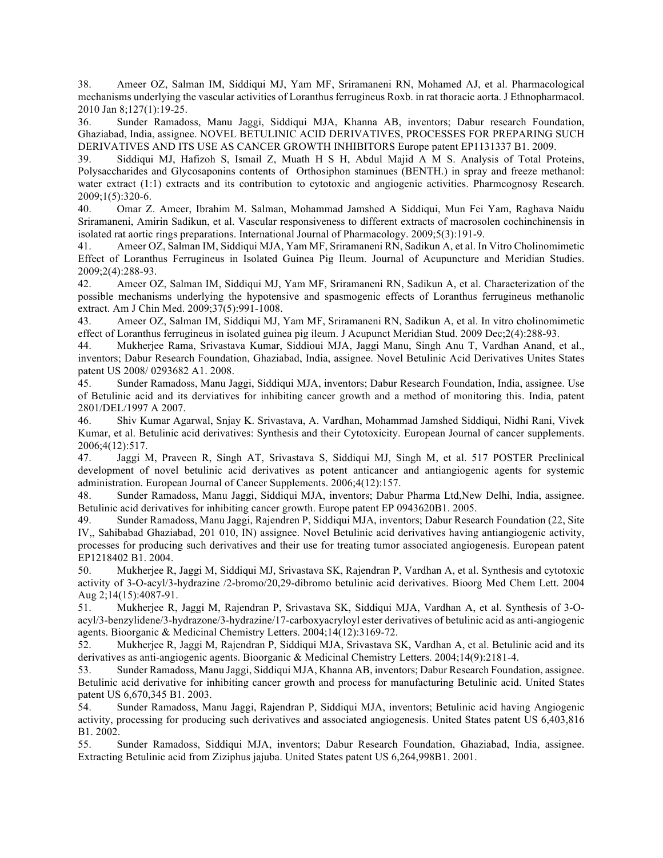38. Ameer OZ, Salman IM, Siddiqui MJ, Yam MF, Sriramaneni RN, Mohamed AJ, et al. Pharmacological mechanisms underlying the vascular activities of Loranthus ferrugineus Roxb. in rat thoracic aorta. J Ethnopharmacol. 2010 Jan 8;127(1):19-25.

36. Sunder Ramadoss, Manu Jaggi, Siddiqui MJA, Khanna AB, inventors; Dabur research Foundation, Ghaziabad, India, assignee. NOVEL BETULINIC ACID DERIVATIVES, PROCESSES FOR PREPARING SUCH DERIVATIVES AND ITS USE AS CANCER GROWTH INHIBITORS Europe patent EP1131337 B1. 2009.

39. Siddiqui MJ, Hafizoh S, Ismail Z, Muath H S H, Abdul Majid A M S. Analysis of Total Proteins, Polysaccharides and Glycosaponins contents of Orthosiphon staminues (BENTH.) in spray and freeze methanol: water extract (1:1) extracts and its contribution to cytotoxic and angiogenic activities. Pharmcognosy Research. 2009;1(5):320-6.

40. Omar Z. Ameer, Ibrahim M. Salman, Mohammad Jamshed A Siddiqui, Mun Fei Yam, Raghava Naidu Sriramaneni, Amirin Sadikun, et al. Vascular responsiveness to different extracts of macrosolen cochinchinensis in isolated rat aortic rings preparations. International Journal of Pharmacology. 2009;5(3):191-9.

41. Ameer OZ, Salman IM, Siddiqui MJA, Yam MF, Sriramaneni RN, Sadikun A, et al. In Vitro Cholinomimetic Effect of Loranthus Ferrugineus in Isolated Guinea Pig Ileum. Journal of Acupuncture and Meridian Studies. 2009;2(4):288-93.

42. Ameer OZ, Salman IM, Siddiqui MJ, Yam MF, Sriramaneni RN, Sadikun A, et al. Characterization of the possible mechanisms underlying the hypotensive and spasmogenic effects of Loranthus ferrugineus methanolic extract. Am J Chin Med. 2009;37(5):991-1008.

43. Ameer OZ, Salman IM, Siddiqui MJ, Yam MF, Sriramaneni RN, Sadikun A, et al. In vitro cholinomimetic effect of Loranthus ferrugineus in isolated guinea pig ileum. J Acupunct Meridian Stud. 2009 Dec;2(4):288-93.

44. Mukherjee Rama, Srivastava Kumar, Siddioui MJA, Jaggi Manu, Singh Anu T, Vardhan Anand, et al., inventors; Dabur Research Foundation, Ghaziabad, India, assignee. Novel Betulinic Acid Derivatives Unites States patent US 2008/ 0293682 A1. 2008.

45. Sunder Ramadoss, Manu Jaggi, Siddiqui MJA, inventors; Dabur Research Foundation, India, assignee. Use of Betulinic acid and its derviatives for inhibiting cancer growth and a method of monitoring this. India, patent 2801/DEL/1997 A 2007.

46. Shiv Kumar Agarwal, Snjay K. Srivastava, A. Vardhan, Mohammad Jamshed Siddiqui, Nidhi Rani, Vivek Kumar, et al. Betulinic acid derivatives: Synthesis and their Cytotoxicity. European Journal of cancer supplements. 2006;4(12):517.

47. Jaggi M, Praveen R, Singh AT, Srivastava S, Siddiqui MJ, Singh M, et al. 517 POSTER Preclinical development of novel betulinic acid derivatives as potent anticancer and antiangiogenic agents for systemic administration. European Journal of Cancer Supplements. 2006;4(12):157.

48. Sunder Ramadoss, Manu Jaggi, Siddiqui MJA, inventors; Dabur Pharma Ltd,New Delhi, India, assignee. Betulinic acid derivatives for inhibiting cancer growth. Europe patent EP 0943620B1. 2005.

49. Sunder Ramadoss, Manu Jaggi, Rajendren P, Siddiqui MJA, inventors; Dabur Research Foundation (22, Site IV,, Sahibabad Ghaziabad, 201 010, IN) assignee. Novel Betulinic acid derivatives having antiangiogenic activity, processes for producing such derivatives and their use for treating tumor associated angiogenesis. European patent EP1218402 B1. 2004.

50. Mukherjee R, Jaggi M, Siddiqui MJ, Srivastava SK, Rajendran P, Vardhan A, et al. Synthesis and cytotoxic activity of 3-O-acyl/3-hydrazine /2-bromo/20,29-dibromo betulinic acid derivatives. Bioorg Med Chem Lett. 2004 Aug 2;14(15):4087-91.

51. Mukherjee R, Jaggi M, Rajendran P, Srivastava SK, Siddiqui MJA, Vardhan A, et al. Synthesis of 3-Oacyl/3-benzylidene/3-hydrazone/3-hydrazine/17-carboxyacryloyl ester derivatives of betulinic acid as anti-angiogenic agents. Bioorganic & Medicinal Chemistry Letters. 2004;14(12):3169-72.

52. Mukherjee R, Jaggi M, Rajendran P, Siddiqui MJA, Srivastava SK, Vardhan A, et al. Betulinic acid and its derivatives as anti-angiogenic agents. Bioorganic & Medicinal Chemistry Letters. 2004;14(9):2181-4.

53. Sunder Ramadoss, Manu Jaggi, Siddiqui MJA, Khanna AB, inventors; Dabur Research Foundation, assignee. Betulinic acid derivative for inhibiting cancer growth and process for manufacturing Betulinic acid. United States patent US 6,670,345 B1. 2003.

54. Sunder Ramadoss, Manu Jaggi, Rajendran P, Siddiqui MJA, inventors; Betulinic acid having Angiogenic activity, processing for producing such derivatives and associated angiogenesis. United States patent US 6,403,816 B1. 2002.

55. Sunder Ramadoss, Siddiqui MJA, inventors; Dabur Research Foundation, Ghaziabad, India, assignee. Extracting Betulinic acid from Ziziphus jajuba. United States patent US 6,264,998B1. 2001.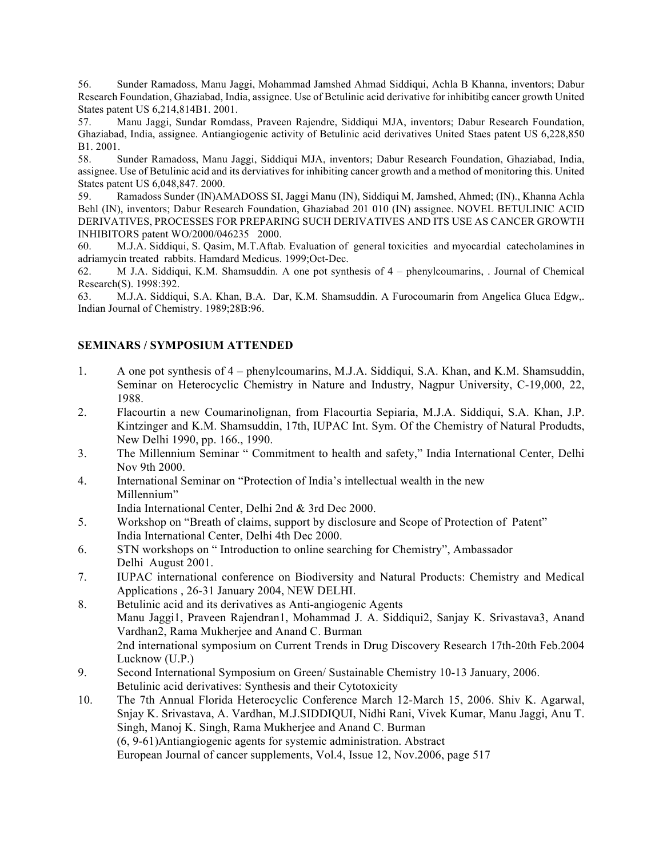56. Sunder Ramadoss, Manu Jaggi, Mohammad Jamshed Ahmad Siddiqui, Achla B Khanna, inventors; Dabur Research Foundation, Ghaziabad, India, assignee. Use of Betulinic acid derivative for inhibitibg cancer growth United States patent US 6,214,814B1. 2001.

57. Manu Jaggi, Sundar Romdass, Praveen Rajendre, Siddiqui MJA, inventors; Dabur Research Foundation, Ghaziabad, India, assignee. Antiangiogenic activity of Betulinic acid derivatives United Staes patent US 6,228,850 B1. 2001.

58. Sunder Ramadoss, Manu Jaggi, Siddiqui MJA, inventors; Dabur Research Foundation, Ghaziabad, India, assignee. Use of Betulinic acid and its derviatives for inhibiting cancer growth and a method of monitoring this. United States patent US 6,048,847. 2000.

59. Ramadoss Sunder (IN)AMADOSS SI, Jaggi Manu (IN), Siddiqui M, Jamshed, Ahmed; (IN)., Khanna Achla Behl (IN), inventors; Dabur Research Foundation, Ghaziabad 201 010 (IN) assignee. NOVEL BETULINIC ACID DERIVATIVES, PROCESSES FOR PREPARING SUCH DERIVATIVES AND ITS USE AS CANCER GROWTH INHIBITORS patent WO/2000/046235 2000.

60. M.J.A. Siddiqui, S. Qasim, M.T.Aftab. Evaluation of general toxicities and myocardial catecholamines in adriamycin treated rabbits. Hamdard Medicus. 1999;Oct-Dec.

62. M J.A. Siddiqui, K.M. Shamsuddin. A one pot synthesis of 4 – phenylcoumarins, . Journal of Chemical Research(S). 1998:392.

63. M.J.A. Siddiqui, S.A. Khan, B.A. Dar, K.M. Shamsuddin. A Furocoumarin from Angelica Gluca Edgw,. Indian Journal of Chemistry. 1989;28B:96.

### **SEMINARS / SYMPOSIUM ATTENDED**

- 1. A one pot synthesis of 4 phenylcoumarins, M.J.A. Siddiqui, S.A. Khan, and K.M. Shamsuddin, Seminar on Heterocyclic Chemistry in Nature and Industry, Nagpur University, C-19,000, 22, 1988.
- 2. Flacourtin a new Coumarinolignan, from Flacourtia Sepiaria, M.J.A. Siddiqui, S.A. Khan, J.P. Kintzinger and K.M. Shamsuddin, 17th, IUPAC Int. Sym. Of the Chemistry of Natural Produdts, New Delhi 1990, pp. 166., 1990.
- 3. The Millennium Seminar " Commitment to health and safety," India International Center, Delhi Nov 9th 2000.
- 4. International Seminar on "Protection of India's intellectual wealth in the new Millennium"

India International Center, Delhi 2nd & 3rd Dec 2000.

- 5. Workshop on "Breath of claims, support by disclosure and Scope of Protection of Patent" India International Center, Delhi 4th Dec 2000.
- 6. STN workshops on " Introduction to online searching for Chemistry", Ambassador Delhi August 2001.
- 7. IUPAC international conference on Biodiversity and Natural Products: Chemistry and Medical Applications , 26-31 January 2004, NEW DELHI.
- 8. Betulinic acid and its derivatives as Anti-angiogenic Agents Manu Jaggi1, Praveen Rajendran1, Mohammad J. A. Siddiqui2, Sanjay K. Srivastava3, Anand Vardhan2, Rama Mukherjee and Anand C. Burman 2nd international symposium on Current Trends in Drug Discovery Research 17th-20th Feb.2004 Lucknow (U.P.)
- 9. Second International Symposium on Green/ Sustainable Chemistry 10-13 January, 2006. Betulinic acid derivatives: Synthesis and their Cytotoxicity
- 10. The 7th Annual Florida Heterocyclic Conference March 12-March 15, 2006. Shiv K. Agarwal, Snjay K. Srivastava, A. Vardhan, M.J.SIDDIQUI, Nidhi Rani, Vivek Kumar, Manu Jaggi, Anu T. Singh, Manoj K. Singh, Rama Mukherjee and Anand C. Burman (6, 9-61)Antiangiogenic agents for systemic administration. Abstract European Journal of cancer supplements, Vol.4, Issue 12, Nov.2006, page 517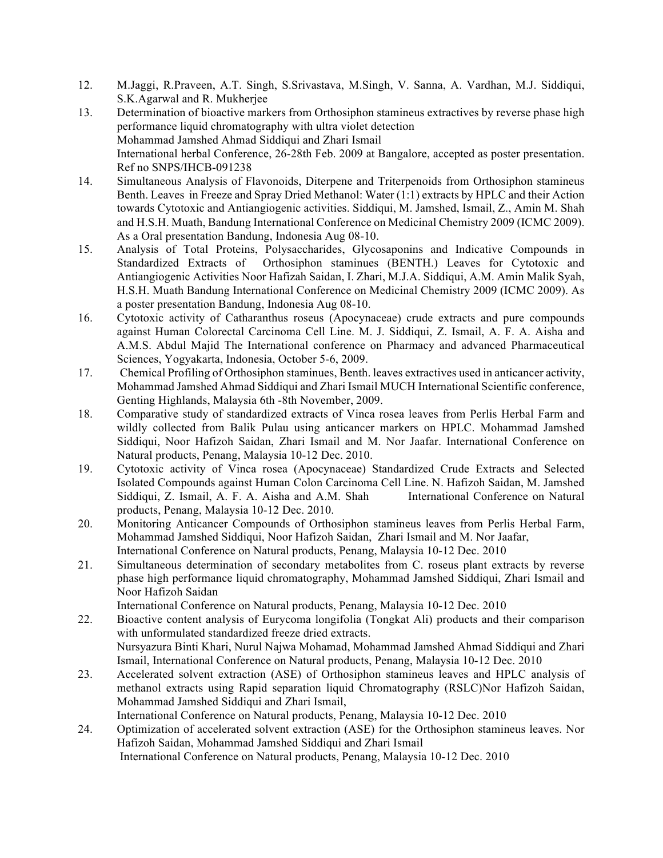- 12. M.Jaggi, R.Praveen, A.T. Singh, S.Srivastava, M.Singh, V. Sanna, A. Vardhan, M.J. Siddiqui, S.K.Agarwal and R. Mukherjee
- 13. Determination of bioactive markers from Orthosiphon stamineus extractives by reverse phase high performance liquid chromatography with ultra violet detection Mohammad Jamshed Ahmad Siddiqui and Zhari Ismail International herbal Conference, 26-28th Feb. 2009 at Bangalore, accepted as poster presentation. Ref no SNPS/IHCB-091238
- 14. Simultaneous Analysis of Flavonoids, Diterpene and Triterpenoids from Orthosiphon stamineus Benth. Leaves in Freeze and Spray Dried Methanol: Water (1:1) extracts by HPLC and their Action towards Cytotoxic and Antiangiogenic activities. Siddiqui, M. Jamshed, Ismail, Z., Amin M. Shah and H.S.H. Muath, Bandung International Conference on Medicinal Chemistry 2009 (ICMC 2009). As a Oral presentation Bandung, Indonesia Aug 08-10.
- 15. Analysis of Total Proteins, Polysaccharides, Glycosaponins and Indicative Compounds in Standardized Extracts of Orthosiphon staminues (BENTH.) Leaves for Cytotoxic and Antiangiogenic Activities Noor Hafizah Saidan, I. Zhari, M.J.A. Siddiqui, A.M. Amin Malik Syah, H.S.H. Muath Bandung International Conference on Medicinal Chemistry 2009 (ICMC 2009). As a poster presentation Bandung, Indonesia Aug 08-10.
- 16. Cytotoxic activity of Catharanthus roseus (Apocynaceae) crude extracts and pure compounds against Human Colorectal Carcinoma Cell Line. M. J. Siddiqui, Z. Ismail, A. F. A. Aisha and A.M.S. Abdul Majid The International conference on Pharmacy and advanced Pharmaceutical Sciences, Yogyakarta, Indonesia, October 5-6, 2009.
- 17. Chemical Profiling of Orthosiphon staminues, Benth. leaves extractives used in anticancer activity, Mohammad Jamshed Ahmad Siddiqui and Zhari Ismail MUCH International Scientific conference, Genting Highlands, Malaysia 6th -8th November, 2009.
- 18. Comparative study of standardized extracts of Vinca rosea leaves from Perlis Herbal Farm and wildly collected from Balik Pulau using anticancer markers on HPLC. Mohammad Jamshed Siddiqui, Noor Hafizoh Saidan, Zhari Ismail and M. Nor Jaafar. International Conference on Natural products, Penang, Malaysia 10-12 Dec. 2010.
- 19. Cytotoxic activity of Vinca rosea (Apocynaceae) Standardized Crude Extracts and Selected Isolated Compounds against Human Colon Carcinoma Cell Line. N. Hafizoh Saidan, M. Jamshed Siddiqui, Z. Ismail, A. F. A. Aisha and A.M. Shah International Conference on Natural products, Penang, Malaysia 10-12 Dec. 2010.
- 20. Monitoring Anticancer Compounds of Orthosiphon stamineus leaves from Perlis Herbal Farm, Mohammad Jamshed Siddiqui, Noor Hafizoh Saidan, Zhari Ismail and M. Nor Jaafar, International Conference on Natural products, Penang, Malaysia 10-12 Dec. 2010
- 21. Simultaneous determination of secondary metabolites from C. roseus plant extracts by reverse phase high performance liquid chromatography, Mohammad Jamshed Siddiqui, Zhari Ismail and Noor Hafizoh Saidan

International Conference on Natural products, Penang, Malaysia 10-12 Dec. 2010

- 22. Bioactive content analysis of Eurycoma longifolia (Tongkat Ali) products and their comparison with unformulated standardized freeze dried extracts. Nursyazura Binti Khari, Nurul Najwa Mohamad, Mohammad Jamshed Ahmad Siddiqui and Zhari Ismail, International Conference on Natural products, Penang, Malaysia 10-12 Dec. 2010
- 23. Accelerated solvent extraction (ASE) of Orthosiphon stamineus leaves and HPLC analysis of methanol extracts using Rapid separation liquid Chromatography (RSLC)Nor Hafizoh Saidan, Mohammad Jamshed Siddiqui and Zhari Ismail,
	- International Conference on Natural products, Penang, Malaysia 10-12 Dec. 2010
- 24. Optimization of accelerated solvent extraction (ASE) for the Orthosiphon stamineus leaves. Nor Hafizoh Saidan, Mohammad Jamshed Siddiqui and Zhari Ismail International Conference on Natural products, Penang, Malaysia 10-12 Dec. 2010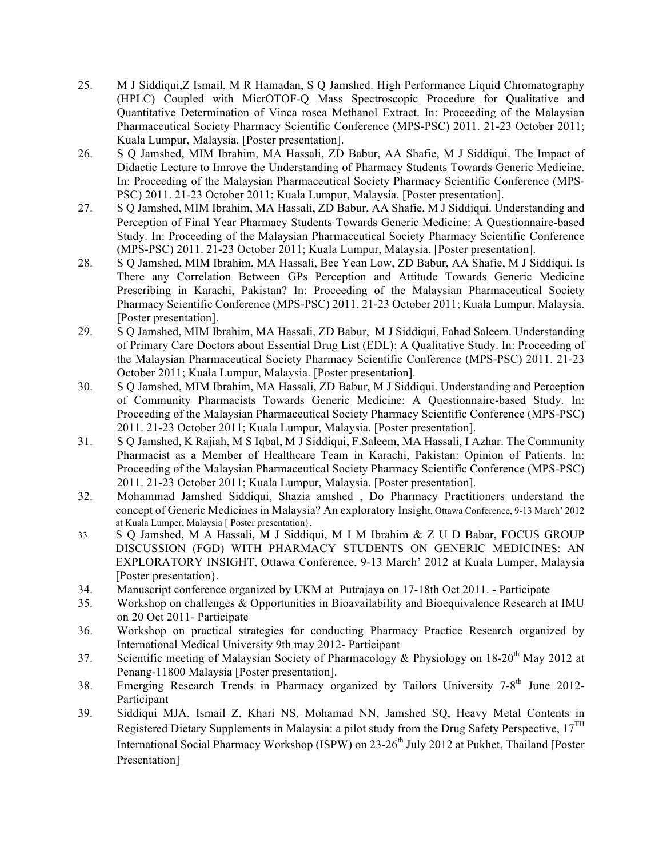- 25. M J Siddiqui,Z Ismail, M R Hamadan, S Q Jamshed. High Performance Liquid Chromatography (HPLC) Coupled with MicrOTOF-Q Mass Spectroscopic Procedure for Qualitative and Quantitative Determination of Vinca rosea Methanol Extract. In: Proceeding of the Malaysian Pharmaceutical Society Pharmacy Scientific Conference (MPS-PSC) 2011. 21-23 October 2011; Kuala Lumpur, Malaysia. [Poster presentation].
- 26. S Q Jamshed, MIM Ibrahim, MA Hassali, ZD Babur, AA Shafie, M J Siddiqui. The Impact of Didactic Lecture to Imrove the Understanding of Pharmacy Students Towards Generic Medicine. In: Proceeding of the Malaysian Pharmaceutical Society Pharmacy Scientific Conference (MPS-PSC) 2011. 21-23 October 2011; Kuala Lumpur, Malaysia. [Poster presentation].
- 27. S Q Jamshed, MIM Ibrahim, MA Hassali, ZD Babur, AA Shafie, M J Siddiqui. Understanding and Perception of Final Year Pharmacy Students Towards Generic Medicine: A Questionnaire-based Study. In: Proceeding of the Malaysian Pharmaceutical Society Pharmacy Scientific Conference (MPS-PSC) 2011. 21-23 October 2011; Kuala Lumpur, Malaysia. [Poster presentation].
- 28. S Q Jamshed, MIM Ibrahim, MA Hassali, Bee Yean Low, ZD Babur, AA Shafie, M J Siddiqui. Is There any Correlation Between GPs Perception and Attitude Towards Generic Medicine Prescribing in Karachi, Pakistan? In: Proceeding of the Malaysian Pharmaceutical Society Pharmacy Scientific Conference (MPS-PSC) 2011. 21-23 October 2011; Kuala Lumpur, Malaysia. [Poster presentation].
- 29. S Q Jamshed, MIM Ibrahim, MA Hassali, ZD Babur, M J Siddiqui, Fahad Saleem. Understanding of Primary Care Doctors about Essential Drug List (EDL): A Qualitative Study. In: Proceeding of the Malaysian Pharmaceutical Society Pharmacy Scientific Conference (MPS-PSC) 2011. 21-23 October 2011; Kuala Lumpur, Malaysia. [Poster presentation].
- 30. S Q Jamshed, MIM Ibrahim, MA Hassali, ZD Babur, M J Siddiqui. Understanding and Perception of Community Pharmacists Towards Generic Medicine: A Questionnaire-based Study. In: Proceeding of the Malaysian Pharmaceutical Society Pharmacy Scientific Conference (MPS-PSC) 2011. 21-23 October 2011; Kuala Lumpur, Malaysia. [Poster presentation].
- 31. S Q Jamshed, K Rajiah, M S Iqbal, M J Siddiqui, F.Saleem, MA Hassali, I Azhar. The Community Pharmacist as a Member of Healthcare Team in Karachi, Pakistan: Opinion of Patients. In: Proceeding of the Malaysian Pharmaceutical Society Pharmacy Scientific Conference (MPS-PSC) 2011. 21-23 October 2011; Kuala Lumpur, Malaysia. [Poster presentation].
- 32. Mohammad Jamshed Siddiqui, Shazia amshed , Do Pharmacy Practitioners understand the concept of Generic Medicines in Malaysia? An exploratory Insight, Ottawa Conference, 9-13 March' 2012 at Kuala Lumper, Malaysia [ Poster presentation}.
- 33. S Q Jamshed, M A Hassali, M J Siddiqui, M I M Ibrahim & Z U D Babar, FOCUS GROUP DISCUSSION (FGD) WITH PHARMACY STUDENTS ON GENERIC MEDICINES: AN EXPLORATORY INSIGHT, Ottawa Conference, 9-13 March' 2012 at Kuala Lumper, Malaysia [Poster presentation}.
- 34. Manuscript conference organized by UKM at Putrajaya on 17-18th Oct 2011. Participate
- 35. Workshop on challenges & Opportunities in Bioavailability and Bioequivalence Research at IMU on 20 Oct 2011- Participate
- 36. Workshop on practical strategies for conducting Pharmacy Practice Research organized by International Medical University 9th may 2012- Participant
- 37. Scientific meeting of Malaysian Society of Pharmacology & Physiology on 18-20<sup>th</sup> May 2012 at Penang-11800 Malaysia [Poster presentation].
- 38. Emerging Research Trends in Pharmacy organized by Tailors University 7-8<sup>th</sup> June 2012-**Participant**
- 39. Siddiqui MJA, Ismail Z, Khari NS, Mohamad NN, Jamshed SQ, Heavy Metal Contents in Registered Dietary Supplements in Malaysia: a pilot study from the Drug Safety Perspective,  $17^{TH}$ International Social Pharmacy Workshop (ISPW) on 23-26<sup>th</sup> July 2012 at Pukhet, Thailand [Poster] Presentation]